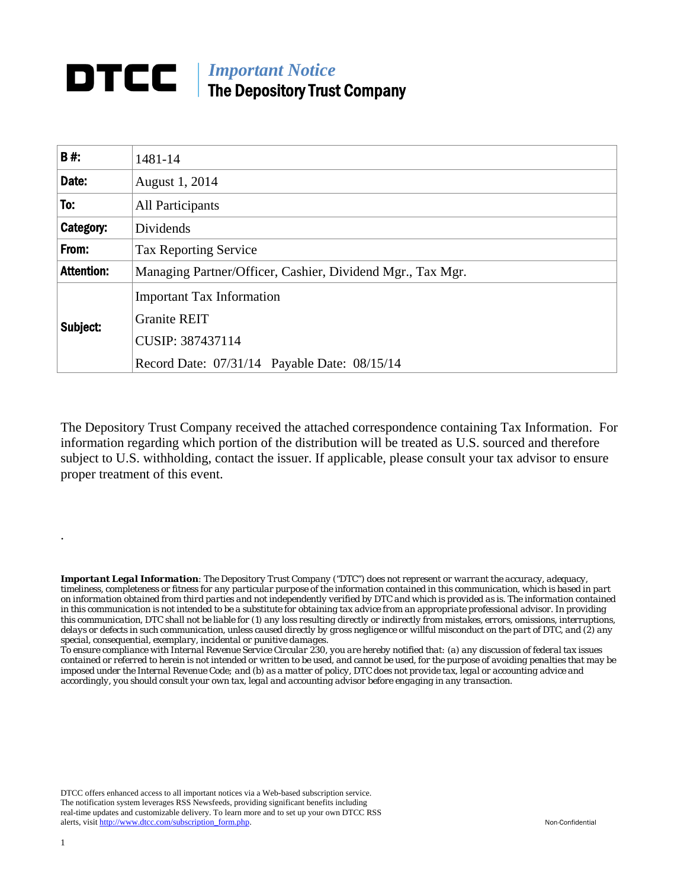## *Important Notice*  The Depository Trust Company

| <b>B#:</b>        | 1481-14                                                                                                                     |
|-------------------|-----------------------------------------------------------------------------------------------------------------------------|
| Date:             | August 1, 2014                                                                                                              |
| To:               | All Participants                                                                                                            |
| Category:         | Dividends                                                                                                                   |
| From:             | <b>Tax Reporting Service</b>                                                                                                |
| <b>Attention:</b> | Managing Partner/Officer, Cashier, Dividend Mgr., Tax Mgr.                                                                  |
| Subject:          | <b>Important Tax Information</b><br><b>Granite REIT</b><br>CUSIP: 387437114<br>Record Date: 07/31/14 Payable Date: 08/15/14 |

The Depository Trust Company received the attached correspondence containing Tax Information. For information regarding which portion of the distribution will be treated as U.S. sourced and therefore subject to U.S. withholding, contact the issuer. If applicable, please consult your tax advisor to ensure proper treatment of this event.

*Important Legal Information: The Depository Trust Company ("DTC") does not represent or warrant the accuracy, adequacy, timeliness, completeness or fitness for any particular purpose of the information contained in this communication, which is based in part on information obtained from third parties and not independently verified by DTC and which is provided as is. The information contained in this communication is not intended to be a substitute for obtaining tax advice from an appropriate professional advisor. In providing this communication, DTC shall not be liable for (1) any loss resulting directly or indirectly from mistakes, errors, omissions, interruptions, delays or defects in such communication, unless caused directly by gross negligence or willful misconduct on the part of DTC, and (2) any special, consequential, exemplary, incidental or punitive damages.* 

*To ensure compliance with Internal Revenue Service Circular 230, you are hereby notified that: (a) any discussion of federal tax issues contained or referred to herein is not intended or written to be used, and cannot be used, for the purpose of avoiding penalties that may be imposed under the Internal Revenue Code; and (b) as a matter of policy, DTC does not provide tax, legal or accounting advice and accordingly, you should consult your own tax, legal and accounting advisor before engaging in any transaction.*

DTCC offers enhanced access to all important notices via a Web-based subscription service. The notification system leverages RSS Newsfeeds, providing significant benefits including real-time updates and customizable delivery. To learn more and to set up your own DTCC RSS alerts, visit http://www.dtcc.com/subscription\_form.php. Non-Confidential

.